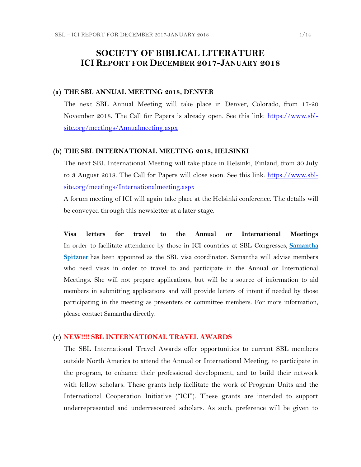## **SOCIETY OF BIBLICAL LITERATURE ICI REPORT FOR DECEMBER 2017-JANUARY 2018**

#### **(a) THE SBL ANNUAL MEETING 2018, DENVER**

The next SBL Annual Meeting will take place in Denver, Colorado, from 17-20 November 2018. The Call for Papers is already open. See this link: [https://www.sbl](https://www.sbl-site.org/meetings/Annualmeeting.aspx)[site.org/meetings/Annualmeeting.aspx](https://www.sbl-site.org/meetings/Annualmeeting.aspx)

#### **(b) THE SBL INTERNATIONAL MEETING 2018, HELSINKI**

The next SBL International Meeting will take place in Helsinki, Finland, from 30 July to 3 August 2018. The Call for Papers will close soon. See this link: [https://www.sbl](https://www.sbl-site.org/meetings/Internationalmeeting.aspx)[site.org/meetings/Internationalmeeting.aspx](https://www.sbl-site.org/meetings/Internationalmeeting.aspx)

A forum meeting of ICI will again take place at the Helsinki conference. The details will be conveyed through this newsletter at a later stage.

**Visa letters for travel to the Annual or International Meetings** In order to facilitate attendance by those in ICI countries at SBL Congresses, **[Samantha](mailto:samantha.spitzner@sbl-site.org)  [Spitzner](mailto:samantha.spitzner@sbl-site.org)** has been appointed as the SBL visa coordinator. Samantha will advise members who need visas in order to travel to and participate in the Annual or International Meetings. She will not prepare applications, but will be a source of information to aid members in submitting applications and will provide letters of intent if needed by those participating in the meeting as presenters or committee members. For more information, please contact Samantha directly.

#### **(c) NEW!!!! SBL INTERNATIONAL TRAVEL AWARDS**

The SBL International Travel Awards offer opportunities to current SBL members outside North America to attend the Annual or International Meeting, to participate in the program, to enhance their professional development, and to build their network with fellow scholars. These grants help facilitate the work of Program Units and the International Cooperation Initiative ("ICI"). These grants are intended to support underrepresented and underresourced scholars. As such, preference will be given to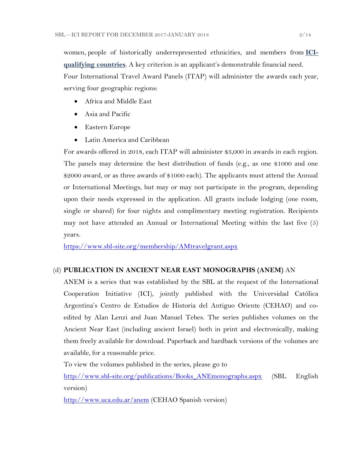women, people of historically underrepresented ethnicities, and members from **[ICI](https://www.sbl-site.org/assets/pdfs/ICIcountries.pdf)[qualifying countries](https://www.sbl-site.org/assets/pdfs/ICIcountries.pdf)**. A key criterion is an applicant's demonstrable financial need. Four International Travel Award Panels (ITAP) will administer the awards each year, serving four geographic regions:

- Africa and Middle East
- Asia and Pacific
- Eastern Europe
- Latin America and Caribbean

For awards offered in 2018, each ITAP will administer \$3,000 in awards in each region. The panels may determine the best distribution of funds (e.g., as one \$1000 and one \$2000 award, or as three awards of \$1000 each). The applicants must attend the Annual or International Meetings, but may or may not participate in the program, depending upon their needs expressed in the application. All grants include lodging (one room, single or shared) for four nights and complimentary meeting registration. Recipients may not have attended an Annual or International Meeting within the last five (5) years.

<https://www.sbl-site.org/membership/AMtravelgrant.aspx>

### (d) **PUBLICATION IN [ANCIENT NEAR EAST MONOGRAPHS](http://www.sbl-site.org/publications/Books_ANEmonographs.aspx) (ANEM)** AN

ANEM is a series that was established by the SBL at the request of the International Cooperation Initiative (ICI), jointly published with the Universidad Católica Argentina's Centro de Estudios de Historia del Antiguo Oriente (CEHAO) and coedited by Alan Lenzi and Juan Manuel Tebes. The series publishes volumes on the Ancient Near East (including ancient Israel) both in print and electronically, making them freely available for download. Paperback and hardback versions of the volumes are available, for a reasonable price.

To view the volumes published in the series, please go to

[http://www.sbl-site.org/publications/Books\\_ANEmonographs.aspx](http://www.sbl-site.org/publications/Books_ANEmonographs.aspx) (SBL English version)

<http://www.uca.edu.ar/anem> (CEHAO Spanish version)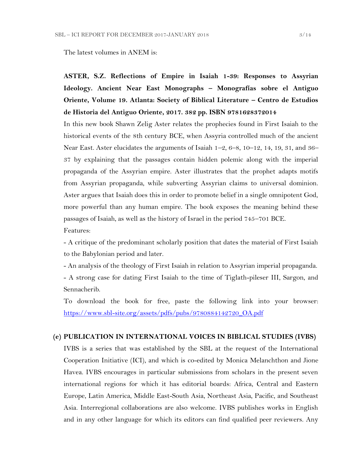The latest volumes in ANEM is:

**ASTER, S.Z. Reflections of Empire in Isaiah 1-39: Responses to Assyrian Ideology. Ancient Near East Monographs – Monografías sobre el Antiguo Oriente, Volume 19. Atlanta: Society of Biblical Literature – Centro de Estudios de Historia del Antiguo Oriente, 2017. 382 pp. ISBN 9781628372014**

In this new book Shawn Zelig Aster relates the prophecies found in First Isaiah to the historical events of the 8th century BCE, when Assyria controlled much of the ancient Near East. Aster elucidates the arguments of Isaiah 1–2, 6–8, 10–12, 14, 19, 31, and 36– 37 by explaining that the passages contain hidden polemic along with the imperial propaganda of the Assyrian empire. Aster illustrates that the prophet adapts motifs from Assyrian propaganda, while subverting Assyrian claims to universal dominion. Aster argues that Isaiah does this in order to promote belief in a single omnipotent God, more powerful than any human empire. The book exposes the meaning behind these passages of Isaiah, as well as the history of Israel in the period 745–701 BCE. Features:

- A critique of the predominant scholarly position that dates the material of First Isaiah to the Babylonian period and later.

- An analysis of the theology of First Isaiah in relation to Assyrian imperial propaganda. - A strong case for dating First Isaiah to the time of Tiglath-pileser III, Sargon, and Sennacherib.

To download the book for free, paste the following link into your browser: [https://www.sbl-site.org/assets/pdfs/pubs/9780884142720\\_OA.pdf](https://www.sbl-site.org/assets/pdfs/pubs/9780884142720_OA.pdf)

#### **(e) PUBLICATION IN INTERNATIONAL VOICES IN BIBLICAL STUDIES (IVBS)**

IVBS is a series that was established by the SBL at the request of the International Cooperation Initiative (ICI), and which is co-edited by Monica Melanchthon and Jione Havea. IVBS encourages in particular submissions from scholars in the present seven international regions for which it has editorial boards: Africa, Central and Eastern Europe, Latin America, Middle East-South Asia, Northeast Asia, Pacific, and Southeast Asia. Interregional collaborations are also welcome. IVBS publishes works in English and in any other language for which its editors can find qualified peer reviewers. Any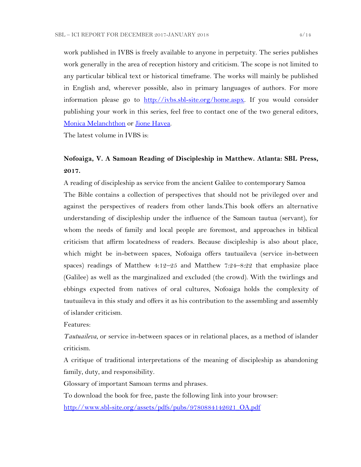work published in IVBS is freely available to anyone in perpetuity. The series publishes work generally in the area of reception history and criticism. The scope is not limited to any particular biblical text or historical timeframe. The works will mainly be published in English and, wherever possible, also in primary languages of authors. For more information please go to [http://ivbs.sbl-site.org/home.aspx.](http://ivbs.sbl-site.org/home.aspx) If you would consider publishing your work in this series, feel free to contact one of the two general editors, [Monica Melanchthon](mailto:ivbs2010@gmail.com) or [Jione Havea.](mailto:jioneh@nsw.uca.org.au)

The latest volume in IVBS is:

## **Nofoaiga, V. A Samoan Reading of Discipleship in Matthew. Atlanta: SBL Press, 2017.**

A reading of discipleship as service from the ancient Galilee to contemporary Samoa The Bible contains a collection of perspectives that should not be privileged over and against the perspectives of readers from other lands.This book offers an alternative understanding of discipleship under the influence of the Samoan tautua (servant), for whom the needs of family and local people are foremost, and approaches in biblical criticism that affirm locatedness of readers. Because discipleship is also about place, which might be in-between spaces, Nofoaiga offers tautuaileva (service in-between spaces) readings of Matthew 4:12–25 and Matthew 7:24–8:22 that emphasize place (Galilee) as well as the marginalized and excluded (the crowd). With the twirlings and ebbings expected from natives of oral cultures, Nofoaiga holds the complexity of tautuaileva in this study and offers it as his contribution to the assembling and assembly of islander criticism.

Features:

*Tautuaileva*, or service in-between spaces or in relational places, as a method of islander criticism.

A critique of traditional interpretations of the meaning of discipleship as abandoning family, duty, and responsibility.

Glossary of important Samoan terms and phrases.

To download the book for free, paste the following link into your browser:

[http://www.sbl-site.org/assets/pdfs/pubs/9780884142621\\_OA.pdf](http://www.sbl-site.org/assets/pdfs/pubs/9780884142621_OA.pdf)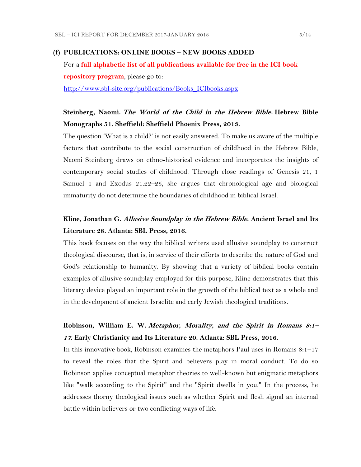#### **(f) PUBLICATIONS: ONLINE BOOKS – NEW BOOKS ADDED**

For a **full alphabetic list of all publications available for free in the ICI book repository program**, please go to: [http://www.sbl-site.org/publications/Books\\_ICIbooks.aspx](http://www.sbl-site.org/publications/Books_ICIbooks.aspx)

## **Steinberg, Naomi. The World of the Child in the Hebrew Bible. Hebrew Bible Monographs 51. Sheffield: Sheffield Phoenix Press, 2013.**

The question 'What is a child?' is not easily answered. To make us aware of the multiple factors that contribute to the social construction of childhood in the Hebrew Bible, Naomi Steinberg draws on ethno-historical evidence and incorporates the insights of contemporary social studies of childhood. Through close readings of Genesis 21, 1 Samuel 1 and Exodus 21.22–25, she argues that chronological age and biological immaturity do not determine the boundaries of childhood in biblical Israel.

### **Kline, Jonathan G. Allusive Soundplay in the Hebrew Bible. Ancient Israel and Its Literature 28. Atlanta: SBL Press, 2016.**

This book focuses on the way the biblical writers used allusive soundplay to construct theological discourse, that is, in service of their efforts to describe the nature of God and God's relationship to humanity. By showing that a variety of biblical books contain examples of allusive soundplay employed for this purpose, Kline demonstrates that this literary device played an important role in the growth of the biblical text as a whole and in the development of ancient Israelite and early Jewish theological traditions.

## **Robinson, William E. W. Metaphor, Morality, and the Spirit in Romans 8:1– <sup>17</sup>. Early Christianity and Its Literature 20. Atlanta: SBL Press, 2016.**

In this innovative book, Robinson examines the metaphors Paul uses in Romans 8:1–17 to reveal the roles that the Spirit and believers play in moral conduct. To do so Robinson applies conceptual metaphor theories to well-known but enigmatic metaphors like "walk according to the Spirit" and the "Spirit dwells in you." In the process, he addresses thorny theological issues such as whether Spirit and flesh signal an internal battle within believers or two conflicting ways of life.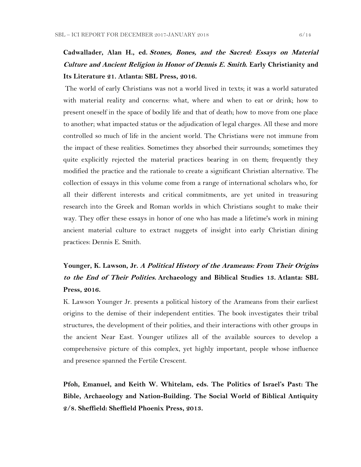# **Cadwallader, Alan H., ed. Stones, Bones, and the Sacred: Essays on Material Culture and Ancient Religion in Honor of Dennis E. Smith. Early Christianity and Its Literature 21. Atlanta: SBL Press, 2016.**

The world of early Christians was not a world lived in texts; it was a world saturated with material reality and concerns: what, where and when to eat or drink; how to present oneself in the space of bodily life and that of death; how to move from one place to another; what impacted status or the adjudication of legal charges. All these and more controlled so much of life in the ancient world. The Christians were not immune from the impact of these realities. Sometimes they absorbed their surrounds; sometimes they quite explicitly rejected the material practices bearing in on them; frequently they modified the practice and the rationale to create a significant Christian alternative. The collection of essays in this volume come from a range of international scholars who, for all their different interests and critical commitments, are yet united in treasuring research into the Greek and Roman worlds in which Christians sought to make their way. They offer these essays in honor of one who has made a lifetime's work in mining ancient material culture to extract nuggets of insight into early Christian dining practices: Dennis E. Smith.

# **Younger, K. Lawson, Jr. A Political History of the Arameans: From Their Origins to the End of Their Polities. Archaeology and Biblical Studies 13. Atlanta: SBL Press, 2016.**

K. Lawson Younger Jr. presents a political history of the Arameans from their earliest origins to the demise of their independent entities. The book investigates their tribal structures, the development of their polities, and their interactions with other groups in the ancient Near East. Younger utilizes all of the available sources to develop a comprehensive picture of this complex, yet highly important, people whose influence and presence spanned the Fertile Crescent.

**Pfoh, Emanuel, and Keith W. Whitelam, eds. The Politics of Israel's Past: The Bible, Archaeology and Nation-Building. The Social World of Biblical Antiquity 2/8. Sheffield: Sheffield Phoenix Press, 2013.**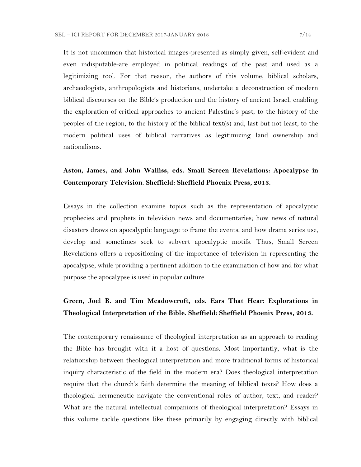It is not uncommon that historical images-presented as simply given, self-evident and even indisputable-are employed in political readings of the past and used as a legitimizing tool. For that reason, the authors of this volume, biblical scholars, archaeologists, anthropologists and historians, undertake a deconstruction of modern biblical discourses on the Bible's production and the history of ancient Israel, enabling the exploration of critical approaches to ancient Palestine's past, to the history of the peoples of the region, to the history of the biblical text(s) and, last but not least, to the modern political uses of biblical narratives as legitimizing land ownership and nationalisms.

## **Aston, James, and John Walliss, eds. Small Screen Revelations: Apocalypse in Contemporary Television. Sheffield: Sheffield Phoenix Press, 2013.**

Essays in the collection examine topics such as the representation of apocalyptic prophecies and prophets in television news and documentaries; how news of natural disasters draws on apocalyptic language to frame the events, and how drama series use, develop and sometimes seek to subvert apocalyptic motifs. Thus, Small Screen Revelations offers a repositioning of the importance of television in representing the apocalypse, while providing a pertinent addition to the examination of how and for what purpose the apocalypse is used in popular culture.

### **Green, Joel B. and Tim Meadowcroft, eds. Ears That Hear: Explorations in Theological Interpretation of the Bible. Sheffield: Sheffield Phoenix Press, 2013.**

The contemporary renaissance of theological interpretation as an approach to reading the Bible has brought with it a host of questions. Most importantly, what is the relationship between theological interpretation and more traditional forms of historical inquiry characteristic of the field in the modern era? Does theological interpretation require that the church's faith determine the meaning of biblical texts? How does a theological hermeneutic navigate the conventional roles of author, text, and reader? What are the natural intellectual companions of theological interpretation? Essays in this volume tackle questions like these primarily by engaging directly with biblical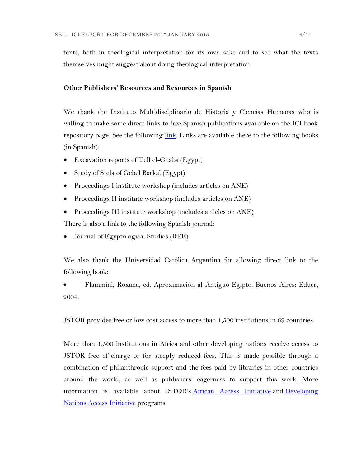texts, both in theological interpretation for its own sake and to see what the texts themselves might suggest about doing theological interpretation.

### **Other Publishers' Resources and Resources in Spanish**

We thank the Instituto Multidisciplinario de Historia y Ciencias Humanas who is willing to make some direct links to free Spanish publications available on the ICI book repository page. See the following [link.](https://www.sbl-site.org/publications/ICI_CONICET.aspx) Links are available there to the following books (in Spanish):

- Excavation reports of Tell el-Ghaba (Egypt)
- Study of Stela of Gebel Barkal (Egypt)
- Proceedings I institute workshop (includes articles on ANE)
- Proceedings II institute workshop (includes articles on ANE)
- Proceedings III institute workshop (includes articles on ANE)

There is also a link to the following Spanish journal:

Journal of Egyptological Studies (REE)

We also thank the Universidad Católica Argentina for allowing direct link to the following book:

 Flammini, Roxana, ed. Aproximación al Antiguo Egipto. Buenos Aires: Educa, 2004.

### JSTOR provides free or low cost access to more than 1,500 institutions in 69 countries

More than 1,500 institutions in Africa and other developing nations receive access to JSTOR free of charge or for steeply reduced fees. This is made possible through a combination of philanthropic support and the fees paid by libraries in other countries around the world, as well as publishers' eagerness to support this work. More information is available about JSTOR's [African Access Initiative](http://about.jstor.org/libraries/african-access-initiative) and Developing [Nations Access Initiative](http://about.jstor.org/libraries/developing-nations-access-initiative) programs.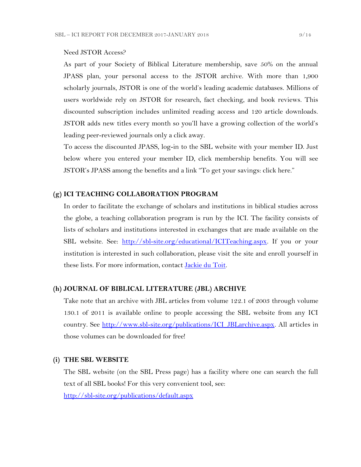#### Need JSTOR Access?

As part of your Society of Biblical Literature membership, save 50% on the annual JPASS plan, your personal access to the JSTOR archive. With more than 1,900 scholarly journals, JSTOR is one of the world's leading academic databases. Millions of users worldwide rely on JSTOR for research, fact checking, and book reviews. This discounted subscription includes unlimited reading access and 120 article downloads. JSTOR adds new titles every month so you'll have a growing collection of the world's leading peer-reviewed journals only a click away.

To access the discounted JPASS, log-in to the SBL website with your member ID. Just below where you entered your member ID, click membership benefits. You will see JSTOR's JPASS among the benefits and a link "To get your savings: click here."

#### **(g) ICI TEACHING COLLABORATION PROGRAM**

In order to facilitate the exchange of scholars and institutions in biblical studies across the globe, a teaching collaboration program is run by the ICI. The facility consists of lists of scholars and institutions interested in exchanges that are made available on the SBL website. See: [http://sbl-site.org/educational/ICITeaching.aspx.](http://sbl-site.org/educational/ICITeaching.aspx) If you or your institution is interested in such collaboration, please visit the site and enroll yourself in these lists. For more information, contact [Jackie du Toit.](mailto:dutoitjs@ufs.ac.za)

#### **(h) JOURNAL OF BIBLICAL LITERATURE (JBL) ARCHIVE**

Take note that an archive with JBL articles from volume 122.1 of 2003 through volume 130.1 of 2011 is available online to people accessing the SBL website from any ICI country. See [http://www.sbl-site.org/publications/ICI\\_JBLarchive.aspx.](http://www.sbl-site.org/publications/ICI_JBLarchive.aspx) All articles in those volumes can be downloaded for free!

#### **(i) THE SBL WEBSITE**

The SBL website (on the SBL Press page) has a facility where one can search the full text of all SBL books! For this very convenient tool, see: <http://sbl-site.org/publications/default.aspx>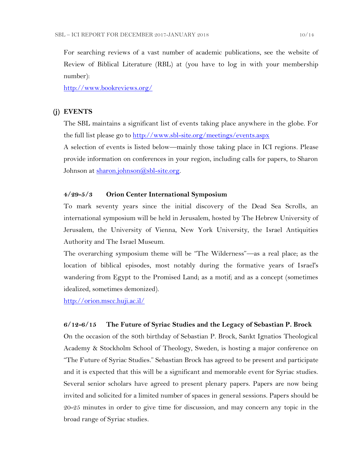For searching reviews of a vast number of academic publications, see the website of Review of Biblical Literature (RBL) at (you have to log in with your membership number):

<http://www.bookreviews.org/>

### **(j) EVENTS**

The SBL maintains a significant list of events taking place anywhere in the globe. For the full list please go to<http://www.sbl-site.org/meetings/events.aspx>

A selection of events is listed below—mainly those taking place in ICI regions. Please provide information on conferences in your region, including calls for papers, to Sharon Johnson at <u>sharon.johnson@sbl-site.org</u>.

#### **4/29-5/3 Orion Center International Symposium**

To mark seventy years since the initial discovery of the Dead Sea Scrolls, an international symposium will be held in Jerusalem, hosted by The Hebrew University of Jerusalem, the University of Vienna, New York University, the Israel Antiquities Authority and The Israel Museum.

The overarching symposium theme will be "The Wilderness"—as a real place; as the location of biblical episodes, most notably during the formative years of Israel's wandering from Egypt to the Promised Land; as a motif; and as a concept (sometimes idealized, sometimes demonized).

<http://orion.mscc.huji.ac.il/>

#### **6/12-6/15 The Future of Syriac Studies and the Legacy of Sebastian P. Brock**

On the occasion of the 80th birthday of Sebastian P. Brock, Sankt Ignatios Theological Academy & Stockholm School of Theology, Sweden, is hosting a major conference on "The Future of Syriac Studies." Sebastian Brock has agreed to be present and participate and it is expected that this will be a significant and memorable event for Syriac studies. Several senior scholars have agreed to present plenary papers. Papers are now being invited and solicited for a limited number of spaces in general sessions. Papers should be 20-25 minutes in order to give time for discussion, and may concern any topic in the broad range of Syriac studies.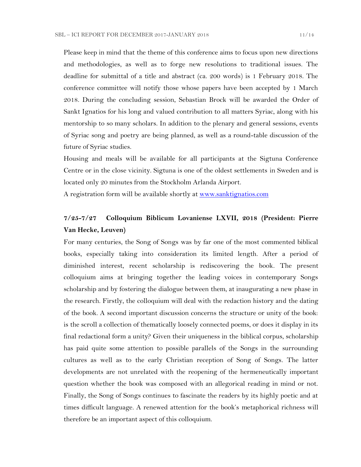Please keep in mind that the theme of this conference aims to focus upon new directions and methodologies, as well as to forge new resolutions to traditional issues. The deadline for submittal of a title and abstract (ca. 200 words) is 1 February 2018. The conference committee will notify those whose papers have been accepted by 1 March 2018. During the concluding session, Sebastian Brock will be awarded the Order of Sankt Ignatios for his long and valued contribution to all matters Syriac, along with his mentorship to so many scholars. In addition to the plenary and general sessions, events of Syriac song and poetry are being planned, as well as a round-table discussion of the future of Syriac studies.

Housing and meals will be available for all participants at the Sigtuna Conference Centre or in the close vicinity. Sigtuna is one of the oldest settlements in Sweden and is located only 20 minutes from the Stockholm Arlanda Airport.

A registration form will be available shortly at<www.sanktignatios.com>

### **7/25-7/27 Colloquium Biblicum Lovaniense LXVII, 2018 (President: Pierre Van Hecke, Leuven)**

For many centuries, the Song of Songs was by far one of the most commented biblical books, especially taking into consideration its limited length. After a period of diminished interest, recent scholarship is rediscovering the book. The present colloquium aims at bringing together the leading voices in contemporary Songs scholarship and by fostering the dialogue between them, at inaugurating a new phase in the research. Firstly, the colloquium will deal with the redaction history and the dating of the book. A second important discussion concerns the structure or unity of the book: is the scroll a collection of thematically loosely connected poems, or does it display in its final redactional form a unity? Given their uniqueness in the biblical corpus, scholarship has paid quite some attention to possible parallels of the Songs in the surrounding cultures as well as to the early Christian reception of Song of Songs. The latter developments are not unrelated with the reopening of the hermeneutically important question whether the book was composed with an allegorical reading in mind or not. Finally, the Song of Songs continues to fascinate the readers by its highly poetic and at times difficult language. A renewed attention for the book's metaphorical richness will therefore be an important aspect of this colloquium.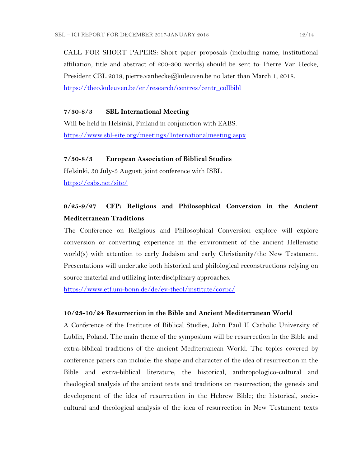CALL FOR SHORT PAPERS: Short paper proposals (including name, institutional affiliation, title and abstract of 200-300 words) should be sent to: Pierre Van Hecke, President CBL 2018, pierre.vanhecke@kuleuven.be no later than March 1, 2018. [https://theo.kuleuven.be/en/research/centres/centr\\_collbibl](https://theo.kuleuven.be/en/research/centres/centr_collbibl)

#### **7/30-8/3 SBL International Meeting**

Will be held in Helsinki, Finland in conjunction with EABS. <https://www.sbl-site.org/meetings/Internationalmeeting.aspx>

#### **7/30-8/3 European Association of Biblical Studies**

Helsinki, 30 July-3 August: joint conference with ISBL <https://eabs.net/site/>

### **9/25-9/27 CFP: Religious and Philosophical Conversion in the Ancient Mediterranean Traditions**

The Conference on Religious and Philosophical Conversion explore will explore conversion or converting experience in the environment of the ancient Hellenistic world(s) with attention to early Judaism and early Christianity/the New Testament. Presentations will undertake both historical and philological reconstructions relying on source material and utilizing interdisciplinary approaches.

<https://www.etf.uni-bonn.de/de/ev-theol/institute/corpc/>

#### **10/23-10/24 Resurrection in the Bible and Ancient Mediterranean World**

A Conference of the Institute of Biblical Studies, John Paul II Catholic University of Lublin, Poland. The main theme of the symposium will be resurrection in the Bible and extra-biblical traditions of the ancient Mediterranean World. The topics covered by conference papers can include: the shape and character of the idea of resurrection in the Bible and extra-biblical literature; the historical, anthropologico-cultural and theological analysis of the ancient texts and traditions on resurrection; the genesis and development of the idea of resurrection in the Hebrew Bible; the historical, sociocultural and theological analysis of the idea of resurrection in New Testament texts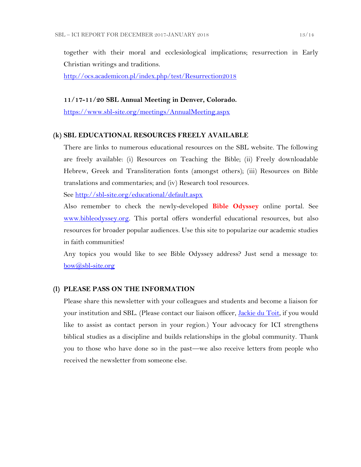together with their moral and ecclesiological implications; resurrection in Early Christian writings and traditions.

<http://ocs.academicon.pl/index.php/test/Resurrection2018>

#### **11/17-11/20 SBL Annual Meeting in Denver, Colorado.**

<https://www.sbl-site.org/meetings/AnnualMeeting.aspx>

#### **(k) SBL EDUCATIONAL RESOURCES FREELY AVAILABLE**

There are links to numerous educational resources on the SBL website. The following are freely available: (i) Resources on Teaching the Bible; (ii) Freely downloadable Hebrew, Greek and Transliteration fonts (amongst others); (iii) Resources on Bible translations and commentaries; and (iv) Research tool resources.

See<http://sbl-site.org/educational/default.aspx>

Also remember to check the newly-developed **Bible Odyssey** online portal. See [www.bibleodyssey.org.](http://www.bibleodyssey.org/) This portal offers wonderful educational resources, but also resources for broader popular audiences. Use this site to popularize our academic studies in faith communities!

Any topics you would like to see Bible Odyssey address? Just send a message to: [bow@sbl-site.org](mailto:bow@sbl-site.org)

#### **(l) PLEASE PASS ON THE INFORMATION**

Please share this newsletter with your colleagues and students and become a liaison for your institution and SBL. (Please contact our liaison officer, *Jackie du Toit*, if you would like to assist as contact person in your region.) Your advocacy for ICI strengthens biblical studies as a discipline and builds relationships in the global community. Thank you to those who have done so in the past—we also receive letters from people who received the newsletter from someone else.